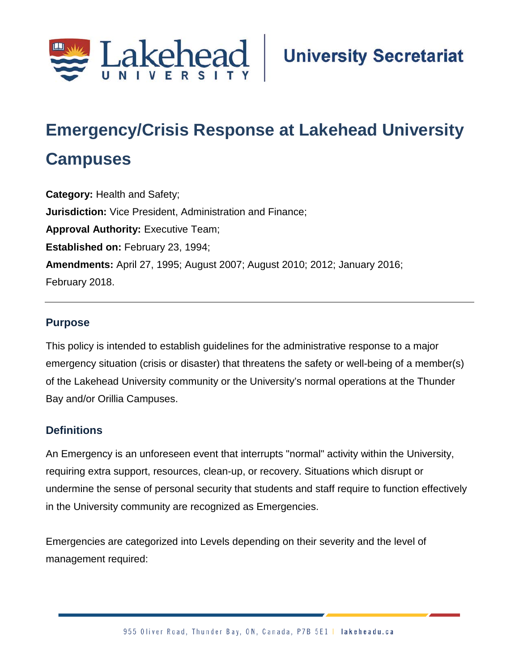

# **Emergency/Crisis Response at Lakehead University**

# **Campuses**

**Category:** Health and Safety; **Jurisdiction:** Vice President, Administration and Finance; **Approval Authority:** Executive Team; **Established on:** February 23, 1994; **Amendments:** April 27, 1995; August 2007; August 2010; 2012; January 2016; February 2018.

# **Purpose**

This policy is intended to establish guidelines for the administrative response to a major emergency situation (crisis or disaster) that threatens the safety or well-being of a member(s) of the Lakehead University community or the University's normal operations at the Thunder Bay and/or Orillia Campuses.

# **Definitions**

An Emergency is an unforeseen event that interrupts "normal" activity within the University, requiring extra support, resources, clean-up, or recovery. Situations which disrupt or undermine the sense of personal security that students and staff require to function effectively in the University community are recognized as Emergencies.

Emergencies are categorized into Levels depending on their severity and the level of management required: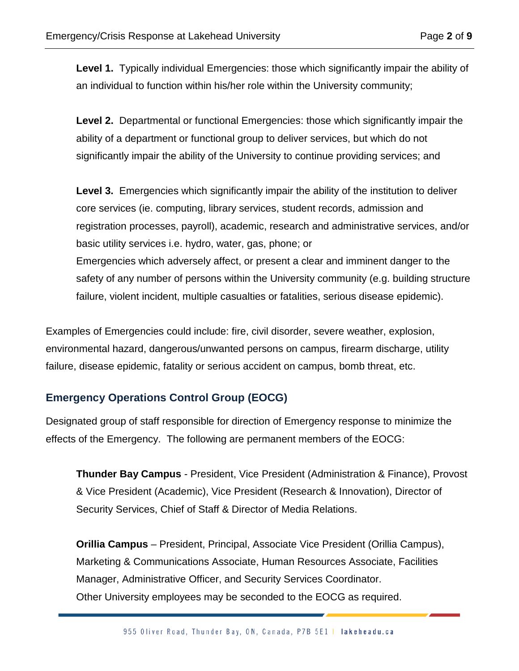Level 1. Typically individual Emergencies: those which significantly impair the ability of an individual to function within his/her role within the University community;

**Level 2.** Departmental or functional Emergencies: those which significantly impair the ability of a department or functional group to deliver services, but which do not significantly impair the ability of the University to continue providing services; and

Level 3. Emergencies which significantly impair the ability of the institution to deliver core services (ie. computing, library services, student records, admission and registration processes, payroll), academic, research and administrative services, and/or basic utility services i.e. hydro, water, gas, phone; or Emergencies which adversely affect, or present a clear and imminent danger to the safety of any number of persons within the University community (e.g. building structure failure, violent incident, multiple casualties or fatalities, serious disease epidemic).

Examples of Emergencies could include: fire, civil disorder, severe weather, explosion, environmental hazard, dangerous/unwanted persons on campus, firearm discharge, utility failure, disease epidemic, fatality or serious accident on campus, bomb threat, etc.

# **Emergency Operations Control Group (EOCG)**

Designated group of staff responsible for direction of Emergency response to minimize the effects of the Emergency. The following are permanent members of the EOCG:

**Thunder Bay Campus** - President, Vice President (Administration & Finance), Provost & Vice President (Academic), Vice President (Research & Innovation), Director of Security Services, Chief of Staff & Director of Media Relations.

**Orillia Campus** – President, Principal, Associate Vice President (Orillia Campus), Marketing & Communications Associate, Human Resources Associate, Facilities Manager, Administrative Officer, and Security Services Coordinator. Other University employees may be seconded to the EOCG as required.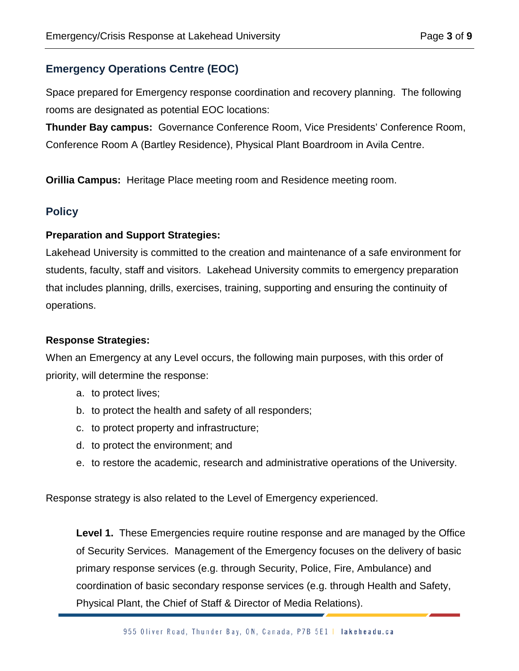# **Emergency Operations Centre (EOC)**

Space prepared for Emergency response coordination and recovery planning. The following rooms are designated as potential EOC locations:

**Thunder Bay campus:** Governance Conference Room, Vice Presidents' Conference Room, Conference Room A (Bartley Residence), Physical Plant Boardroom in Avila Centre.

**Orillia Campus:** Heritage Place meeting room and Residence meeting room.

# **Policy**

#### **Preparation and Support Strategies:**

Lakehead University is committed to the creation and maintenance of a safe environment for students, faculty, staff and visitors. Lakehead University commits to emergency preparation that includes planning, drills, exercises, training, supporting and ensuring the continuity of operations.

#### **Response Strategies:**

When an Emergency at any Level occurs, the following main purposes, with this order of priority, will determine the response:

- a. to protect lives;
- b. to protect the health and safety of all responders;
- c. to protect property and infrastructure;
- d. to protect the environment; and
- e. to restore the academic, research and administrative operations of the University.

Response strategy is also related to the Level of Emergency experienced.

**Level 1.** These Emergencies require routine response and are managed by the Office of Security Services. Management of the Emergency focuses on the delivery of basic primary response services (e.g. through Security, Police, Fire, Ambulance) and coordination of basic secondary response services (e.g. through Health and Safety, Physical Plant, the Chief of Staff & Director of Media Relations).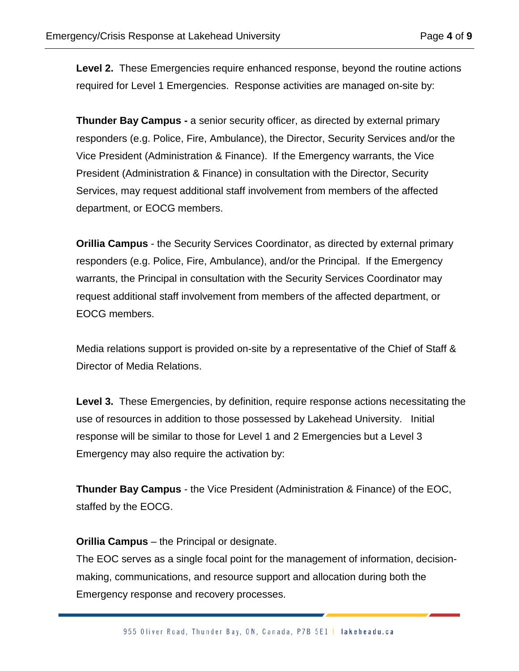**Level 2.** These Emergencies require enhanced response, beyond the routine actions required for Level 1 Emergencies. Response activities are managed on-site by:

**Thunder Bay Campus -** a senior security officer, as directed by external primary responders (e.g. Police, Fire, Ambulance), the Director, Security Services and/or the Vice President (Administration & Finance). If the Emergency warrants, the Vice President (Administration & Finance) in consultation with the Director, Security Services, may request additional staff involvement from members of the affected department, or EOCG members.

**Orillia Campus** - the Security Services Coordinator, as directed by external primary responders (e.g. Police, Fire, Ambulance), and/or the Principal. If the Emergency warrants, the Principal in consultation with the Security Services Coordinator may request additional staff involvement from members of the affected department, or EOCG members.

Media relations support is provided on-site by a representative of the Chief of Staff & Director of Media Relations.

**Level 3.** These Emergencies, by definition, require response actions necessitating the use of resources in addition to those possessed by Lakehead University. Initial response will be similar to those for Level 1 and 2 Emergencies but a Level 3 Emergency may also require the activation by:

**Thunder Bay Campus** - the Vice President (Administration & Finance) of the EOC, staffed by the EOCG.

**Orillia Campus** – the Principal or designate.

The EOC serves as a single focal point for the management of information, decisionmaking, communications, and resource support and allocation during both the Emergency response and recovery processes.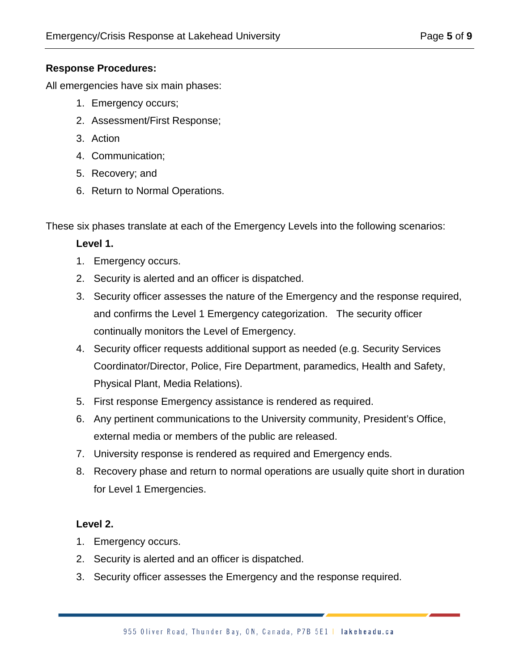#### **Response Procedures:**

All emergencies have six main phases:

- 1. Emergency occurs;
- 2. Assessment/First Response;
- 3. Action
- 4. Communication;
- 5. Recovery; and
- 6. Return to Normal Operations.

These six phases translate at each of the Emergency Levels into the following scenarios:

#### **Level 1.**

- 1. Emergency occurs.
- 2. Security is alerted and an officer is dispatched.
- 3. Security officer assesses the nature of the Emergency and the response required, and confirms the Level 1 Emergency categorization. The security officer continually monitors the Level of Emergency.
- 4. Security officer requests additional support as needed (e.g. Security Services Coordinator/Director, Police, Fire Department, paramedics, Health and Safety, Physical Plant, Media Relations).
- 5. First response Emergency assistance is rendered as required.
- 6. Any pertinent communications to the University community, President's Office, external media or members of the public are released.
- 7. University response is rendered as required and Emergency ends.
- 8. Recovery phase and return to normal operations are usually quite short in duration for Level 1 Emergencies.

#### **Level 2.**

- 1. Emergency occurs.
- 2. Security is alerted and an officer is dispatched.
- 3. Security officer assesses the Emergency and the response required.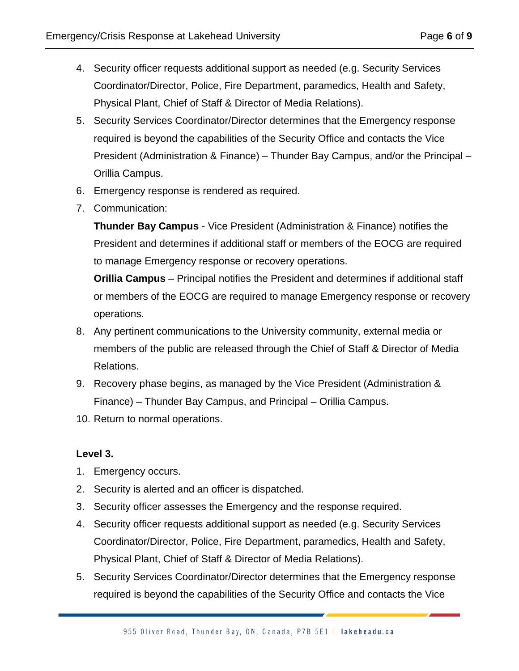- 4. Security officer requests additional support as needed (e.g. Security Services Coordinator/Director, Police, Fire Department, paramedics, Health and Safety, Physical Plant, Chief of Staff & Director of Media Relations).
- 5. Security Services Coordinator/Director determines that the Emergency response required is beyond the capabilities of the Security Office and contacts the Vice President (Administration & Finance) – Thunder Bay Campus, and/or the Principal – Orillia Campus.
- 6. Emergency response is rendered as required.
- 7. Communication:

**Thunder Bay Campus** - Vice President (Administration & Finance) notifies the President and determines if additional staff or members of the EOCG are required to manage Emergency response or recovery operations.

**Orillia Campus** – Principal notifies the President and determines if additional staff or members of the EOCG are required to manage Emergency response or recovery operations.

- 8. Any pertinent communications to the University community, external media or members of the public are released through the Chief of Staff & Director of Media Relations.
- 9. Recovery phase begins, as managed by the Vice President (Administration & Finance) – Thunder Bay Campus, and Principal – Orillia Campus.
- 10. Return to normal operations.

#### **Level 3.**

- 1. Emergency occurs.
- 2. Security is alerted and an officer is dispatched.
- 3. Security officer assesses the Emergency and the response required.
- 4. Security officer requests additional support as needed (e.g. Security Services Coordinator/Director, Police, Fire Department, paramedics, Health and Safety, Physical Plant, Chief of Staff & Director of Media Relations).
- 5. Security Services Coordinator/Director determines that the Emergency response required is beyond the capabilities of the Security Office and contacts the Vice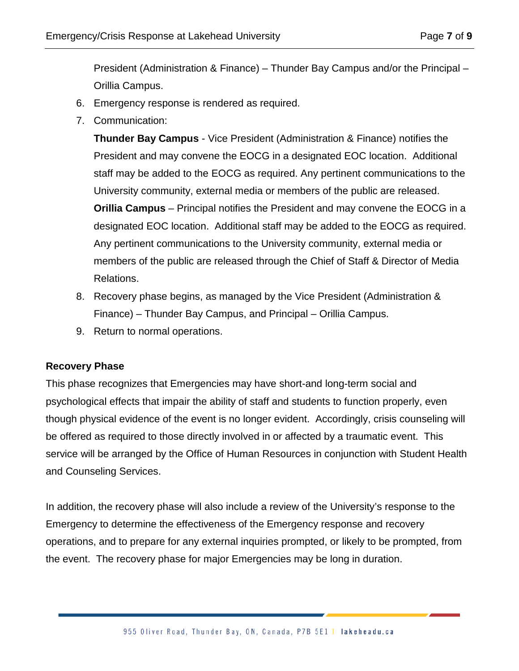President (Administration & Finance) – Thunder Bay Campus and/or the Principal – Orillia Campus.

- 6. Emergency response is rendered as required.
- 7. Communication:

**Thunder Bay Campus** - Vice President (Administration & Finance) notifies the President and may convene the EOCG in a designated EOC location. Additional staff may be added to the EOCG as required. Any pertinent communications to the University community, external media or members of the public are released. **Orillia Campus** – Principal notifies the President and may convene the EOCG in a designated EOC location. Additional staff may be added to the EOCG as required. Any pertinent communications to the University community, external media or members of the public are released through the Chief of Staff & Director of Media Relations.

- 8. Recovery phase begins, as managed by the Vice President (Administration & Finance) – Thunder Bay Campus, and Principal – Orillia Campus.
- 9. Return to normal operations.

#### **Recovery Phase**

This phase recognizes that Emergencies may have short-and long-term social and psychological effects that impair the ability of staff and students to function properly, even though physical evidence of the event is no longer evident. Accordingly, crisis counseling will be offered as required to those directly involved in or affected by a traumatic event. This service will be arranged by the Office of Human Resources in conjunction with Student Health and Counseling Services.

In addition, the recovery phase will also include a review of the University's response to the Emergency to determine the effectiveness of the Emergency response and recovery operations, and to prepare for any external inquiries prompted, or likely to be prompted, from the event. The recovery phase for major Emergencies may be long in duration.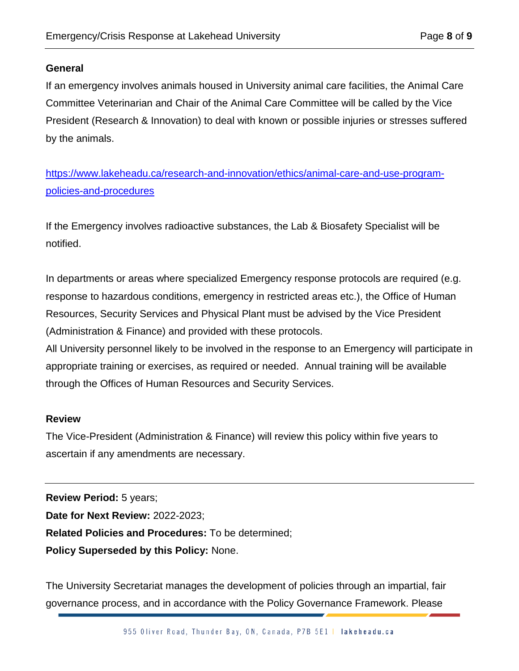#### **General**

If an emergency involves animals housed in University animal care facilities, the Animal Care Committee Veterinarian and Chair of the Animal Care Committee will be called by the Vice President (Research & Innovation) to deal with known or possible injuries or stresses suffered by the animals.

[https://www.lakeheadu.ca/research-and-innovation/ethics/animal-care-and-use-program](https://www.lakeheadu.ca/research-and-innovation/ethics/animal-care-and-use-program-policies-and-procedures)[policies-and-procedures](https://www.lakeheadu.ca/research-and-innovation/ethics/animal-care-and-use-program-policies-and-procedures)

If the Emergency involves radioactive substances, the Lab & Biosafety Specialist will be notified.

In departments or areas where specialized Emergency response protocols are required (e.g. response to hazardous conditions, emergency in restricted areas etc.), the Office of Human Resources, Security Services and Physical Plant must be advised by the Vice President (Administration & Finance) and provided with these protocols.

All University personnel likely to be involved in the response to an Emergency will participate in appropriate training or exercises, as required or needed. Annual training will be available through the Offices of Human Resources and Security Services.

#### **Review**

The Vice-President (Administration & Finance) will review this policy within five years to ascertain if any amendments are necessary.

**Review Period:** 5 years; **Date for Next Review:** 2022-2023; **Related Policies and Procedures:** To be determined; **Policy Superseded by this Policy:** None.

The University Secretariat manages the development of policies through an impartial, fair governance process, and in accordance with the Policy Governance Framework. Please